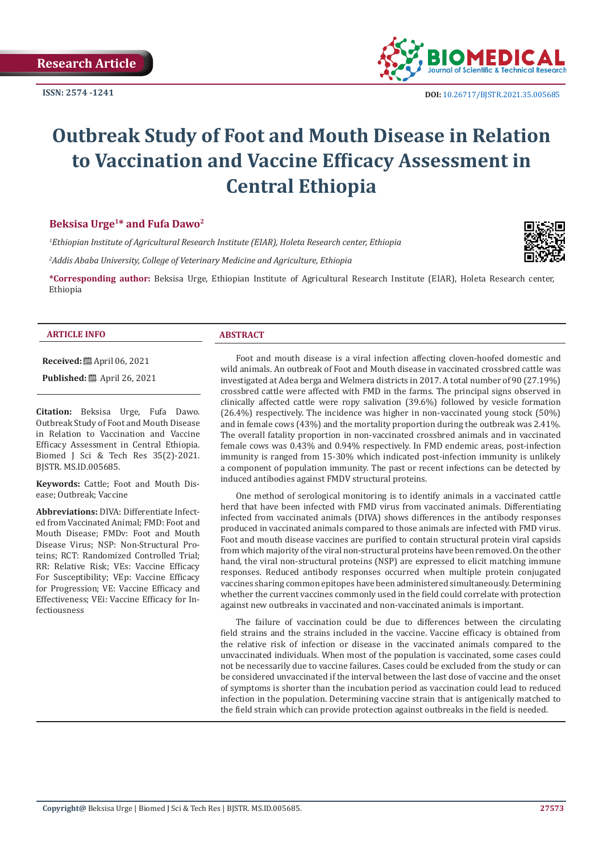**ISSN: 2574 -1241**



# **Outbreak Study of Foot and Mouth Disease in Relation to Vaccination and Vaccine Efficacy Assessment in Central Ethiopia**

#### **Beksisa Urge1\* and Fufa Dawo2**

*1 Ethiopian Institute of Agricultural Research Institute (EIAR), Holeta Research center, Ethiopia*

*2 Addis Ababa University, College of Veterinary Medicine and Agriculture, Ethiopia*

**\*Corresponding author:** Beksisa Urge, Ethiopian Institute of Agricultural Research Institute (EIAR), Holeta Research center, Ethiopia

#### **ARTICLE INFO ABSTRACT**

**Received:** April 06, 2021

**Published:** ■ April 26, 2021

**Citation:** Beksisa Urge, Fufa Dawo. Outbreak Study of Foot and Mouth Disease in Relation to Vaccination and Vaccine Efficacy Assessment in Central Ethiopia. Biomed J Sci & Tech Res 35(2)-2021. BJSTR. MS.ID.005685.

**Keywords:** Cattle; Foot and Mouth Disease; Outbreak; Vaccine

**Abbreviations:** DIVA: Differentiate Infected from Vaccinated Animal; FMD: Foot and Mouth Disease; FMDv: Foot and Mouth Disease Virus; NSP: Non-Structural Proteins; RCT: Randomized Controlled Trial; RR: Relative Risk; VEs: Vaccine Efficacy For Susceptibility; VEp: Vaccine Efficacy for Progression; VE: Vaccine Efficacy and Effectiveness; VEi: Vaccine Efficacy for Infectiousness

Foot and mouth disease is a viral infection affecting cloven-hoofed domestic and wild animals. An outbreak of Foot and Mouth disease in vaccinated crossbred cattle was investigated at Adea berga and Welmera districts in 2017. A total number of 90 (27.19%) crossbred cattle were affected with FMD in the farms. The principal signs observed in clinically affected cattle were ropy salivation (39.6%) followed by vesicle formation (26.4%) respectively. The incidence was higher in non-vaccinated young stock (50%) and in female cows (43%) and the mortality proportion during the outbreak was 2.41%. The overall fatality proportion in non-vaccinated crossbred animals and in vaccinated female cows was 0.43% and 0.94% respectively. In FMD endemic areas, post-infection immunity is ranged from 15-30% which indicated post-infection immunity is unlikely a component of population immunity. The past or recent infections can be detected by induced antibodies against FMDV structural proteins.

One method of serological monitoring is to identify animals in a vaccinated cattle herd that have been infected with FMD virus from vaccinated animals. Differentiating infected from vaccinated animals (DIVA) shows differences in the antibody responses produced in vaccinated animals compared to those animals are infected with FMD virus. Foot and mouth disease vaccines are purified to contain structural protein viral capsids from which majority of the viral non-structural proteins have been removed. On the other hand, the viral non-structural proteins (NSP) are expressed to elicit matching immune responses. Reduced antibody responses occurred when multiple protein conjugated vaccines sharing common epitopes have been administered simultaneously. Determining whether the current vaccines commonly used in the field could correlate with protection against new outbreaks in vaccinated and non-vaccinated animals is important.

The failure of vaccination could be due to differences between the circulating field strains and the strains included in the vaccine. Vaccine efficacy is obtained from the relative risk of infection or disease in the vaccinated animals compared to the unvaccinated individuals. When most of the population is vaccinated, some cases could not be necessarily due to vaccine failures. Cases could be excluded from the study or can be considered unvaccinated if the interval between the last dose of vaccine and the onset of symptoms is shorter than the incubation period as vaccination could lead to reduced infection in the population. Determining vaccine strain that is antigenically matched to the field strain which can provide protection against outbreaks in the field is needed.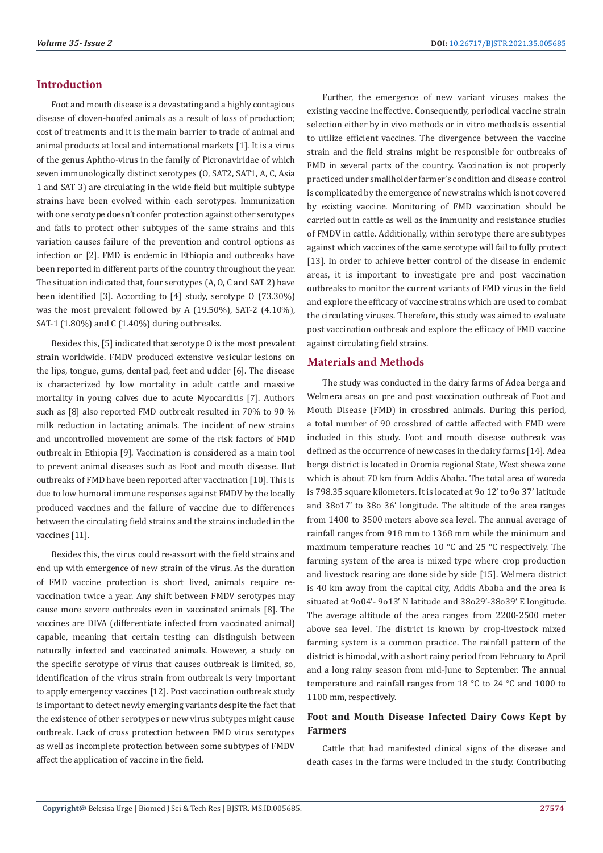#### **Introduction**

Foot and mouth disease is a devastating and a highly contagious disease of cloven-hoofed animals as a result of loss of production; cost of treatments and it is the main barrier to trade of animal and animal products at local and international markets [1]. It is a virus of the genus Aphtho-virus in the family of Picronaviridae of which seven immunologically distinct serotypes (O, SAT2, SAT1, A, C, Asia 1 and SAT 3) are circulating in the wide field but multiple subtype strains have been evolved within each serotypes. Immunization with one serotype doesn't confer protection against other serotypes and fails to protect other subtypes of the same strains and this variation causes failure of the prevention and control options as infection or [2]. FMD is endemic in Ethiopia and outbreaks have been reported in different parts of the country throughout the year. The situation indicated that, four serotypes (A, O, C and SAT 2) have been identified [3]. According to [4] study, serotype O (73.30%) was the most prevalent followed by A (19.50%), SAT-2 (4.10%), SAT-1 (1.80%) and C (1.40%) during outbreaks.

Besides this, [5] indicated that serotype O is the most prevalent strain worldwide. FMDV produced extensive vesicular lesions on the lips, tongue, gums, dental pad, feet and udder [6]. The disease is characterized by low mortality in adult cattle and massive mortality in young calves due to acute Myocarditis [7]. Authors such as [8] also reported FMD outbreak resulted in 70% to 90 % milk reduction in lactating animals. The incident of new strains and uncontrolled movement are some of the risk factors of FMD outbreak in Ethiopia [9]. Vaccination is considered as a main tool to prevent animal diseases such as Foot and mouth disease. But outbreaks of FMD have been reported after vaccination [10]. This is due to low humoral immune responses against FMDV by the locally produced vaccines and the failure of vaccine due to differences between the circulating field strains and the strains included in the vaccines [11].

Besides this, the virus could re-assort with the field strains and end up with emergence of new strain of the virus. As the duration of FMD vaccine protection is short lived, animals require revaccination twice a year. Any shift between FMDV serotypes may cause more severe outbreaks even in vaccinated animals [8]. The vaccines are DIVA (differentiate infected from vaccinated animal) capable, meaning that certain testing can distinguish between naturally infected and vaccinated animals. However, a study on the specific serotype of virus that causes outbreak is limited, so, identification of the virus strain from outbreak is very important to apply emergency vaccines [12]. Post vaccination outbreak study is important to detect newly emerging variants despite the fact that the existence of other serotypes or new virus subtypes might cause outbreak. Lack of cross protection between FMD virus serotypes as well as incomplete protection between some subtypes of FMDV affect the application of vaccine in the field.

Further, the emergence of new variant viruses makes the existing vaccine ineffective. Consequently, periodical vaccine strain selection either by in vivo methods or in vitro methods is essential to utilize efficient vaccines. The divergence between the vaccine strain and the field strains might be responsible for outbreaks of FMD in several parts of the country. Vaccination is not properly practiced under smallholder farmer's condition and disease control is complicated by the emergence of new strains which is not covered by existing vaccine. Monitoring of FMD vaccination should be carried out in cattle as well as the immunity and resistance studies of FMDV in cattle. Additionally, within serotype there are subtypes against which vaccines of the same serotype will fail to fully protect [13]. In order to achieve better control of the disease in endemic areas, it is important to investigate pre and post vaccination outbreaks to monitor the current variants of FMD virus in the field and explore the efficacy of vaccine strains which are used to combat the circulating viruses. Therefore, this study was aimed to evaluate post vaccination outbreak and explore the efficacy of FMD vaccine against circulating field strains.

#### **Materials and Methods**

The study was conducted in the dairy farms of Adea berga and Welmera areas on pre and post vaccination outbreak of Foot and Mouth Disease (FMD) in crossbred animals. During this period, a total number of 90 crossbred of cattle affected with FMD were included in this study. Foot and mouth disease outbreak was defined as the occurrence of new cases in the dairy farms [14]. Adea berga district is located in Oromia regional State, West shewa zone which is about 70 km from Addis Ababa. The total area of woreda is 798.35 square kilometers. It is located at 9o 12' to 9o 37' latitude and 38o17' to 38o 36' longitude. The altitude of the area ranges from 1400 to 3500 meters above sea level. The annual average of rainfall ranges from 918 mm to 1368 mm while the minimum and maximum temperature reaches 10 °C and 25 °C respectively. The farming system of the area is mixed type where crop production and livestock rearing are done side by side [15]. Welmera district is 40 km away from the capital city, Addis Ababa and the area is situated at 9o04'- 9o13' N latitude and 38o29'-38o39' E longitude. The average altitude of the area ranges from 2200-2500 meter above sea level. The district is known by crop-livestock mixed farming system is a common practice. The rainfall pattern of the district is bimodal, with a short rainy period from February to April and a long rainy season from mid-June to September. The annual temperature and rainfall ranges from 18 °C to 24 °C and 1000 to 1100 mm, respectively.

## **Foot and Mouth Disease Infected Dairy Cows Kept by Farmers**

Cattle that had manifested clinical signs of the disease and death cases in the farms were included in the study. Contributing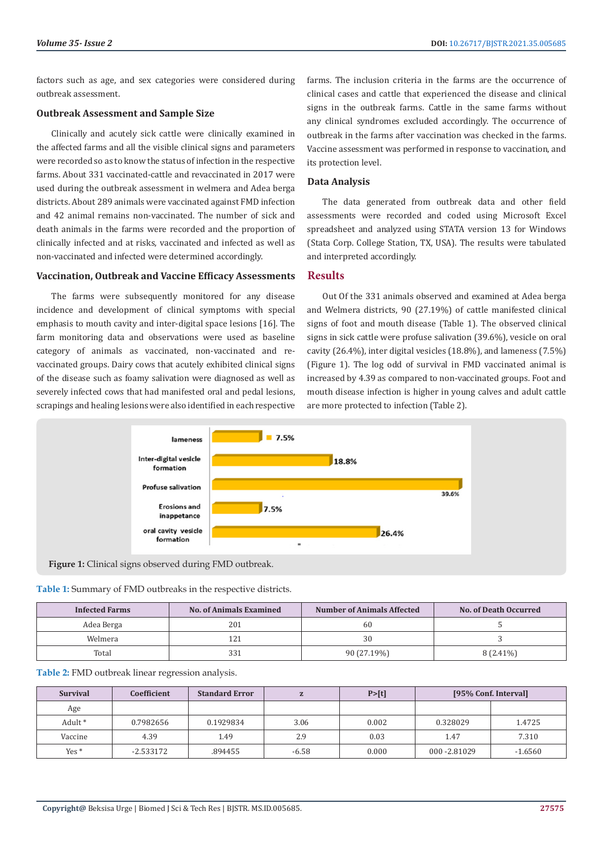factors such as age, and sex categories were considered during outbreak assessment.

#### **Outbreak Assessment and Sample Size**

Clinically and acutely sick cattle were clinically examined in the affected farms and all the visible clinical signs and parameters were recorded so as to know the status of infection in the respective farms. About 331 vaccinated-cattle and revaccinated in 2017 were used during the outbreak assessment in welmera and Adea berga districts. About 289 animals were vaccinated against FMD infection and 42 animal remains non-vaccinated. The number of sick and death animals in the farms were recorded and the proportion of clinically infected and at risks, vaccinated and infected as well as non-vaccinated and infected were determined accordingly.

#### **Vaccination, Outbreak and Vaccine Efficacy Assessments**

The farms were subsequently monitored for any disease incidence and development of clinical symptoms with special emphasis to mouth cavity and inter-digital space lesions [16]. The farm monitoring data and observations were used as baseline category of animals as vaccinated, non-vaccinated and revaccinated groups. Dairy cows that acutely exhibited clinical signs of the disease such as foamy salivation were diagnosed as well as severely infected cows that had manifested oral and pedal lesions, scrapings and healing lesions were also identified in each respective

farms. The inclusion criteria in the farms are the occurrence of clinical cases and cattle that experienced the disease and clinical signs in the outbreak farms. Cattle in the same farms without any clinical syndromes excluded accordingly. The occurrence of outbreak in the farms after vaccination was checked in the farms. Vaccine assessment was performed in response to vaccination, and its protection level.

#### **Data Analysis**

The data generated from outbreak data and other field assessments were recorded and coded using Microsoft Excel spreadsheet and analyzed using STATA version 13 for Windows (Stata Corp. College Station, TX, USA). The results were tabulated and interpreted accordingly.

#### **Results**

Out Of the 331 animals observed and examined at Adea berga and Welmera districts, 90 (27.19%) of cattle manifested clinical signs of foot and mouth disease (Table 1). The observed clinical signs in sick cattle were profuse salivation (39.6%), vesicle on oral cavity (26.4%), inter digital vesicles (18.8%), and lameness (7.5%) (Figure 1). The log odd of survival in FMD vaccinated animal is increased by 4.39 as compared to non-vaccinated groups. Foot and mouth disease infection is higher in young calves and adult cattle are more protected to infection (Table 2).



**Figure 1:** Clinical signs observed during FMD outbreak.

|  | Table 1: Summary of FMD outbreaks in the respective districts. |
|--|----------------------------------------------------------------|
|--|----------------------------------------------------------------|

| <b>Infected Farms</b> | <b>Number of Animals Affected</b><br><b>No. of Animals Examined</b> |             | <b>No. of Death Occurred</b> |  |
|-----------------------|---------------------------------------------------------------------|-------------|------------------------------|--|
| Adea Berga            | 201                                                                 | 60          |                              |  |
| Welmera               | 121                                                                 | 30          |                              |  |
| Total                 | 331                                                                 | 90 (27.19%) | $8(2.41\%)$                  |  |

| Table 2: FMD outbreak linear regression analysis. |
|---------------------------------------------------|
|---------------------------------------------------|

| <b>Survival</b> | Coefficient | <b>Standard Error</b> |         | P > [t] | [95% Conf. Interval] |           |
|-----------------|-------------|-----------------------|---------|---------|----------------------|-----------|
| Age             |             |                       |         |         |                      |           |
| Adult *         | 0.7982656   | 0.1929834             | 3.06    | 0.002   | 0.328029             | 1.4725    |
| Vaccine         | 4.39        | 1.49                  | 2.9     | 0.03    | 1.47                 | 7.310     |
| $Yes*$          | $-2.533172$ | .894455               | $-6.58$ | 0.000   | 000 - 2.81029        | $-1.6560$ |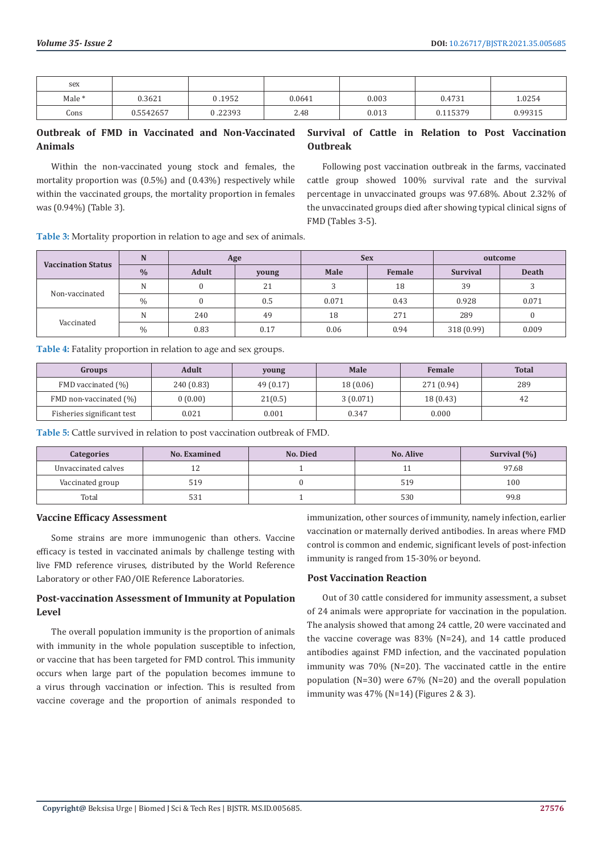| sex    |           |         |        |       |          |         |
|--------|-----------|---------|--------|-------|----------|---------|
| Male * | 0.3621    | 0.1952  | 0.0641 | 0.003 | 0.4731   | 1.0254  |
| Cons   | 0.5542657 | 1.22393 | 2.48   | 0.013 | 0.115379 | 0.99315 |

#### **Outbreak of FMD in Vaccinated and Non-Vaccinated Animals Survival of Cattle in Relation to Post Vaccination Outbreak**

Within the non-vaccinated young stock and females, the mortality proportion was (0.5%) and (0.43%) respectively while within the vaccinated groups, the mortality proportion in females was (0.94%) (Table 3).

Following post vaccination outbreak in the farms, vaccinated cattle group showed 100% survival rate and the survival percentage in unvaccinated groups was 97.68%. About 2.32% of the unvaccinated groups died after showing typical clinical signs of FMD (Tables 3-5).

**Table 3:** Mortality proportion in relation to age and sex of animals.

| <b>Vaccination Status</b> | N             | Age   |       |       | <b>Sex</b> | outcome         |              |
|---------------------------|---------------|-------|-------|-------|------------|-----------------|--------------|
|                           | $\frac{0}{0}$ | Adult | young | Male  | Female     | <b>Survival</b> | <b>Death</b> |
|                           | N             |       | 21    |       | 18         | 39              |              |
| Non-vaccinated            | $\frac{0}{0}$ |       | 0.5   | 0.071 | 0.43       | 0.928           | 0.071        |
|                           | N             | 240   | 49    | 18    | 271        | 289             |              |
| Vaccinated                | $\frac{0}{0}$ | 0.83  | 0.17  | 0.06  | 0.94       | 318 (0.99)      | 0.009        |

**Table 4:** Fatality proportion in relation to age and sex groups.

| <b>Groups</b>              | Adult      | young     | Male      | <b>Female</b> | <b>Total</b> |
|----------------------------|------------|-----------|-----------|---------------|--------------|
| FMD vaccinated (%)         | 240 (0.83) | 49 (0.17) | 18 (0.06) | 271 (0.94)    | 289          |
| FMD non-vaccinated (%)     | 0(0.00)    | 21(0.5)   | 3(0.071)  | 18 (0.43)     | 42           |
| Fisheries significant test | 0.021      | 0.001     | 0.347     | 0.000         |              |

**Table 5:** Cattle survived in relation to post vaccination outbreak of FMD.

| <b>Categories</b>   | <b>No. Examined</b> | No. Died | <b>No. Alive</b> | Survival $(\% )$ |
|---------------------|---------------------|----------|------------------|------------------|
| Unvaccinated calves | ᆠ                   |          |                  | 97.68            |
| Vaccinated group    | 519                 |          | 519              | 100              |
| Total               | 531                 |          | 530              | 99.8             |

#### **Vaccine Efficacy Assessment**

Some strains are more immunogenic than others. Vaccine efficacy is tested in vaccinated animals by challenge testing with live FMD reference viruses, distributed by the World Reference Laboratory or other FAO/OIE Reference Laboratories.

## **Post-vaccination Assessment of Immunity at Population Level**

The overall population immunity is the proportion of animals with immunity in the whole population susceptible to infection, or vaccine that has been targeted for FMD control. This immunity occurs when large part of the population becomes immune to a virus through vaccination or infection. This is resulted from vaccine coverage and the proportion of animals responded to

immunization, other sources of immunity, namely infection, earlier vaccination or maternally derived antibodies. In areas where FMD control is common and endemic, significant levels of post-infection immunity is ranged from 15-30% or beyond.

#### **Post Vaccination Reaction**

Out of 30 cattle considered for immunity assessment, a subset of 24 animals were appropriate for vaccination in the population. The analysis showed that among 24 cattle, 20 were vaccinated and the vaccine coverage was 83% (N=24), and 14 cattle produced antibodies against FMD infection, and the vaccinated population immunity was 70% (N=20). The vaccinated cattle in the entire population (N=30) were 67% (N=20) and the overall population immunity was  $47\%$  (N=14) (Figures 2 & 3).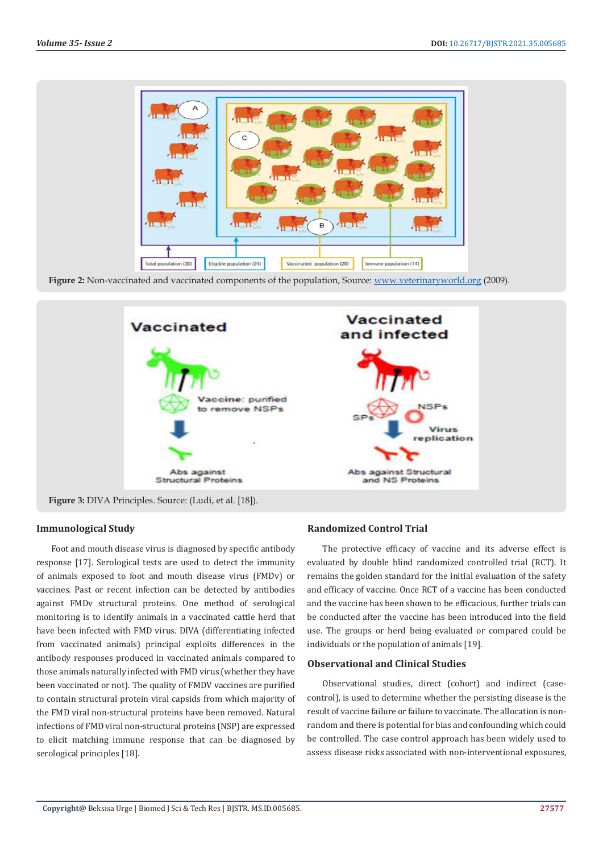

**Figure 2:** Non-vaccinated and vaccinated components of the population, Source: [www.veterinaryworld.org](http://www.veterinaryworld.org) (2009).



**Figure 3:** DIVA Principles. Source: (Ludi, et al. [18]).

#### **Immunological Study**

Foot and mouth disease virus is diagnosed by specific antibody response [17]. Serological tests are used to detect the immunity of animals exposed to foot and mouth disease virus (FMDv) or vaccines. Past or recent infection can be detected by antibodies against FMDv structural proteins. One method of serological monitoring is to identify animals in a vaccinated cattle herd that have been infected with FMD virus. DIVA (differentiating infected from vaccinated animals) principal exploits differences in the antibody responses produced in vaccinated animals compared to those animals naturally infected with FMD virus (whether they have been vaccinated or not). The quality of FMDV vaccines are purified to contain structural protein viral capsids from which majority of the FMD viral non-structural proteins have been removed. Natural infections of FMD viral non-structural proteins (NSP) are expressed to elicit matching immune response that can be diagnosed by serological principles [18].

#### **Randomized Control Trial**

The protective efficacy of vaccine and its adverse effect is evaluated by double blind randomized controlled trial (RCT). It remains the golden standard for the initial evaluation of the safety and efficacy of vaccine. Once RCT of a vaccine has been conducted and the vaccine has been shown to be efficacious, further trials can be conducted after the vaccine has been introduced into the field use. The groups or herd being evaluated or compared could be individuals or the population of animals [19].

#### **Observational and Clinical Studies**

Observational studies, direct (cohort) and indirect (casecontrol), is used to determine whether the persisting disease is the result of vaccine failure or failure to vaccinate. The allocation is nonrandom and there is potential for bias and confounding which could be controlled. The case control approach has been widely used to assess disease risks associated with non-interventional exposures,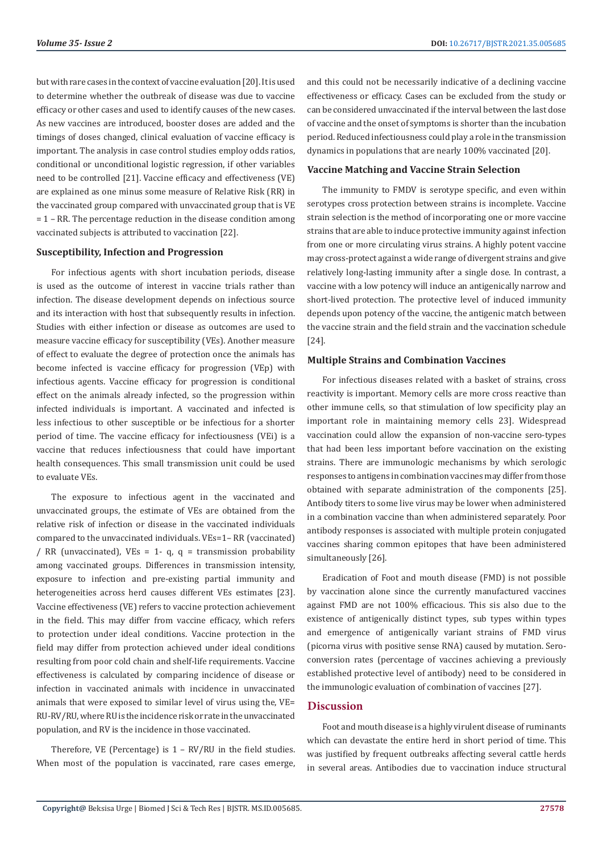but with rare cases in the context of vaccine evaluation [20]. It is used to determine whether the outbreak of disease was due to vaccine efficacy or other cases and used to identify causes of the new cases. As new vaccines are introduced, booster doses are added and the timings of doses changed, clinical evaluation of vaccine efficacy is important. The analysis in case control studies employ odds ratios, conditional or unconditional logistic regression, if other variables need to be controlled [21]. Vaccine efficacy and effectiveness (VE) are explained as one minus some measure of Relative Risk (RR) in the vaccinated group compared with unvaccinated group that is VE  $= 1$  – RR. The percentage reduction in the disease condition among vaccinated subjects is attributed to vaccination [22].

#### **Susceptibility, Infection and Progression**

For infectious agents with short incubation periods, disease is used as the outcome of interest in vaccine trials rather than infection. The disease development depends on infectious source and its interaction with host that subsequently results in infection. Studies with either infection or disease as outcomes are used to measure vaccine efficacy for susceptibility (VEs). Another measure of effect to evaluate the degree of protection once the animals has become infected is vaccine efficacy for progression (VEp) with infectious agents. Vaccine efficacy for progression is conditional effect on the animals already infected, so the progression within infected individuals is important. A vaccinated and infected is less infectious to other susceptible or be infectious for a shorter period of time. The vaccine efficacy for infectiousness (VEi) is a vaccine that reduces infectiousness that could have important health consequences. This small transmission unit could be used to evaluate VEs.

The exposure to infectious agent in the vaccinated and unvaccinated groups, the estimate of VEs are obtained from the relative risk of infection or disease in the vaccinated individuals compared to the unvaccinated individuals. VEs=1– RR (vaccinated) / RR (unvaccinated), VEs = 1- q, q = transmission probability among vaccinated groups. Differences in transmission intensity, exposure to infection and pre-existing partial immunity and heterogeneities across herd causes different VEs estimates [23]. Vaccine effectiveness (VE) refers to vaccine protection achievement in the field. This may differ from vaccine efficacy, which refers to protection under ideal conditions. Vaccine protection in the field may differ from protection achieved under ideal conditions resulting from poor cold chain and shelf-life requirements. Vaccine effectiveness is calculated by comparing incidence of disease or infection in vaccinated animals with incidence in unvaccinated animals that were exposed to similar level of virus using the, VE= RU-RV/RU, where RU is the incidence risk or rate in the unvaccinated population, and RV is the incidence in those vaccinated.

Therefore, VE (Percentage) is 1 – RV/RU in the field studies. When most of the population is vaccinated, rare cases emerge,

and this could not be necessarily indicative of a declining vaccine effectiveness or efficacy. Cases can be excluded from the study or can be considered unvaccinated if the interval between the last dose of vaccine and the onset of symptoms is shorter than the incubation period. Reduced infectiousness could play a role in the transmission dynamics in populations that are nearly 100% vaccinated [20].

#### **Vaccine Matching and Vaccine Strain Selection**

The immunity to FMDV is serotype specific, and even within serotypes cross protection between strains is incomplete. Vaccine strain selection is the method of incorporating one or more vaccine strains that are able to induce protective immunity against infection from one or more circulating virus strains. A highly potent vaccine may cross-protect against a wide range of divergent strains and give relatively long-lasting immunity after a single dose. In contrast, a vaccine with a low potency will induce an antigenically narrow and short-lived protection. The protective level of induced immunity depends upon potency of the vaccine, the antigenic match between the vaccine strain and the field strain and the vaccination schedule [24].

#### **Multiple Strains and Combination Vaccines**

For infectious diseases related with a basket of strains, cross reactivity is important. Memory cells are more cross reactive than other immune cells, so that stimulation of low specificity play an important role in maintaining memory cells 23]. Widespread vaccination could allow the expansion of non-vaccine sero-types that had been less important before vaccination on the existing strains. There are immunologic mechanisms by which serologic responses to antigens in combination vaccines may differ from those obtained with separate administration of the components [25]. Antibody titers to some live virus may be lower when administered in a combination vaccine than when administered separately. Poor antibody responses is associated with multiple protein conjugated vaccines sharing common epitopes that have been administered simultaneously [26].

Eradication of Foot and mouth disease (FMD) is not possible by vaccination alone since the currently manufactured vaccines against FMD are not 100% efficacious. This sis also due to the existence of antigenically distinct types, sub types within types and emergence of antigenically variant strains of FMD virus (picorna virus with positive sense RNA) caused by mutation. Seroconversion rates (percentage of vaccines achieving a previously established protective level of antibody) need to be considered in the immunologic evaluation of combination of vaccines [27].

#### **Discussion**

Foot and mouth disease is a highly virulent disease of ruminants which can devastate the entire herd in short period of time. This was justified by frequent outbreaks affecting several cattle herds in several areas. Antibodies due to vaccination induce structural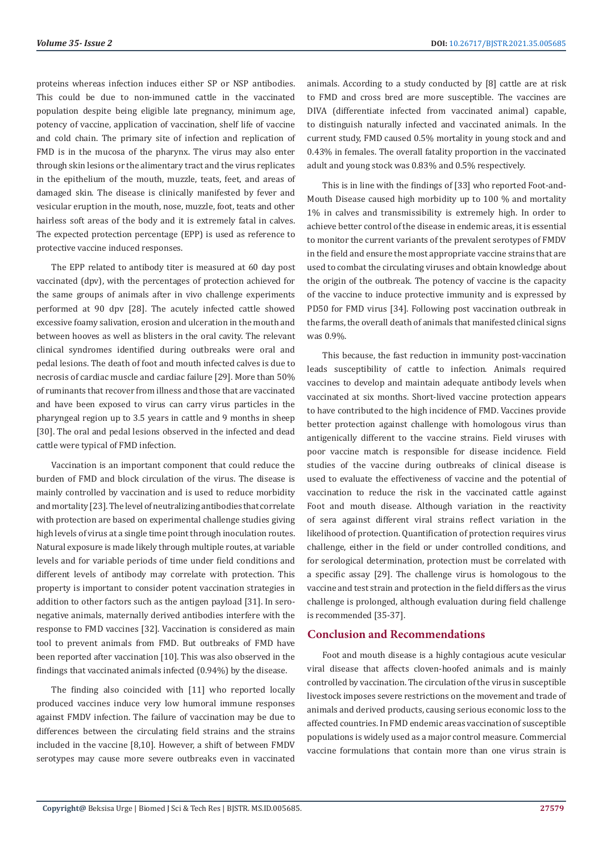proteins whereas infection induces either SP or NSP antibodies. This could be due to non-immuned cattle in the vaccinated population despite being eligible late pregnancy, minimum age, potency of vaccine, application of vaccination, shelf life of vaccine and cold chain. The primary site of infection and replication of FMD is in the mucosa of the pharynx. The virus may also enter through skin lesions or the alimentary tract and the virus replicates in the epithelium of the mouth, muzzle, teats, feet, and areas of damaged skin. The disease is clinically manifested by fever and vesicular eruption in the mouth, nose, muzzle, foot, teats and other hairless soft areas of the body and it is extremely fatal in calves. The expected protection percentage (EPP) is used as reference to protective vaccine induced responses.

The EPP related to antibody titer is measured at 60 day post vaccinated (dpv), with the percentages of protection achieved for the same groups of animals after in vivo challenge experiments performed at 90 dpv [28]. The acutely infected cattle showed excessive foamy salivation, erosion and ulceration in the mouth and between hooves as well as blisters in the oral cavity. The relevant clinical syndromes identified during outbreaks were oral and pedal lesions. The death of foot and mouth infected calves is due to necrosis of cardiac muscle and cardiac failure [29]. More than 50% of ruminants that recover from illness and those that are vaccinated and have been exposed to virus can carry virus particles in the pharyngeal region up to 3.5 years in cattle and 9 months in sheep [30]. The oral and pedal lesions observed in the infected and dead cattle were typical of FMD infection.

Vaccination is an important component that could reduce the burden of FMD and block circulation of the virus. The disease is mainly controlled by vaccination and is used to reduce morbidity and mortality [23]. The level of neutralizing antibodies that correlate with protection are based on experimental challenge studies giving high levels of virus at a single time point through inoculation routes. Natural exposure is made likely through multiple routes, at variable levels and for variable periods of time under field conditions and different levels of antibody may correlate with protection. This property is important to consider potent vaccination strategies in addition to other factors such as the antigen payload [31]. In seronegative animals, maternally derived antibodies interfere with the response to FMD vaccines [32]. Vaccination is considered as main tool to prevent animals from FMD. But outbreaks of FMD have been reported after vaccination [10]. This was also observed in the findings that vaccinated animals infected (0.94%) by the disease.

The finding also coincided with [11] who reported locally produced vaccines induce very low humoral immune responses against FMDV infection. The failure of vaccination may be due to differences between the circulating field strains and the strains included in the vaccine [8,10]. However, a shift of between FMDV serotypes may cause more severe outbreaks even in vaccinated

animals. According to a study conducted by [8] cattle are at risk to FMD and cross bred are more susceptible. The vaccines are DIVA (differentiate infected from vaccinated animal) capable, to distinguish naturally infected and vaccinated animals. In the current study, FMD caused 0.5% mortality in young stock and and 0.43% in females. The overall fatality proportion in the vaccinated adult and young stock was 0.83% and 0.5% respectively.

This is in line with the findings of [33] who reported Foot-and-Mouth Disease caused high morbidity up to 100 % and mortality 1% in calves and transmissibility is extremely high. In order to achieve better control of the disease in endemic areas, it is essential to monitor the current variants of the prevalent serotypes of FMDV in the field and ensure the most appropriate vaccine strains that are used to combat the circulating viruses and obtain knowledge about the origin of the outbreak. The potency of vaccine is the capacity of the vaccine to induce protective immunity and is expressed by PD50 for FMD virus [34]. Following post vaccination outbreak in the farms, the overall death of animals that manifested clinical signs was 0.9%.

This because, the fast reduction in immunity post-vaccination leads susceptibility of cattle to infection. Animals required vaccines to develop and maintain adequate antibody levels when vaccinated at six months. Short-lived vaccine protection appears to have contributed to the high incidence of FMD. Vaccines provide better protection against challenge with homologous virus than antigenically different to the vaccine strains. Field viruses with poor vaccine match is responsible for disease incidence. Field studies of the vaccine during outbreaks of clinical disease is used to evaluate the effectiveness of vaccine and the potential of vaccination to reduce the risk in the vaccinated cattle against Foot and mouth disease. Although variation in the reactivity of sera against different viral strains reflect variation in the likelihood of protection. Quantification of protection requires virus challenge, either in the field or under controlled conditions, and for serological determination, protection must be correlated with a specific assay [29]. The challenge virus is homologous to the vaccine and test strain and protection in the field differs as the virus challenge is prolonged, although evaluation during field challenge is recommended [35-37].

#### **Conclusion and Recommendations**

Foot and mouth disease is a highly contagious acute vesicular viral disease that affects cloven-hoofed animals and is mainly controlled by vaccination. The circulation of the virus in susceptible livestock imposes severe restrictions on the movement and trade of animals and derived products, causing serious economic loss to the affected countries. In FMD endemic areas vaccination of susceptible populations is widely used as a major control measure. Commercial vaccine formulations that contain more than one virus strain is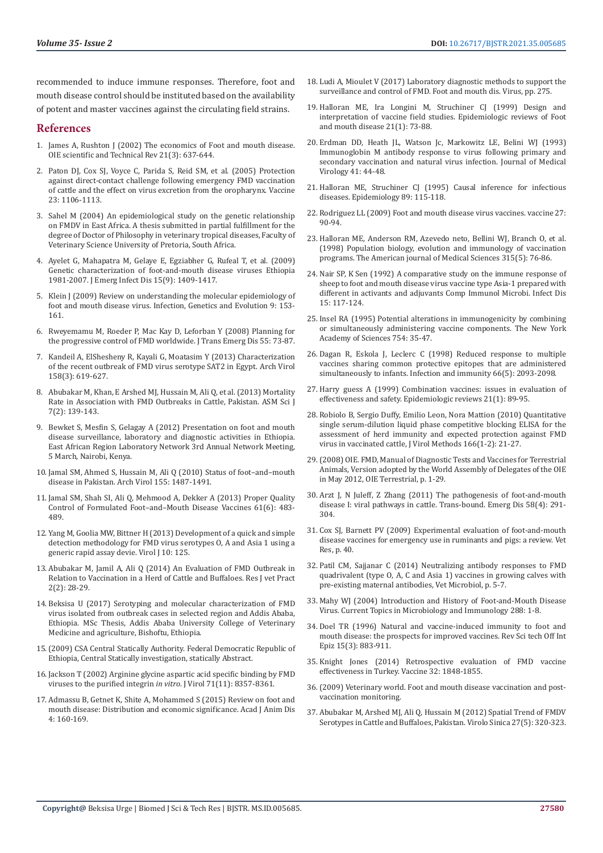recommended to induce immune responses. Therefore, foot and mouth disease control should be instituted based on the availability of potent and master vaccines against the circulating field strains.

#### **References**

- 1. [James A, Rushton J \(2002\) The economics of Foot and mouth disease.](https://pubmed.ncbi.nlm.nih.gov/12523703/)  [OIE scientific and Technical Rev 21\(3\): 637-644.](https://pubmed.ncbi.nlm.nih.gov/12523703/)
- 2. [Paton DJ, Cox SJ, Voyce C, Parida S, Reid SM, et al. \(2005\) Protection](https://pubmed.ncbi.nlm.nih.gov/20170683/)  [against direct-contact challenge following emergency FMD vaccination](https://pubmed.ncbi.nlm.nih.gov/20170683/)  [of cattle and the effect on virus excretion from the oropharynx. Vaccine](https://pubmed.ncbi.nlm.nih.gov/20170683/)  [23: 1106-1113.](https://pubmed.ncbi.nlm.nih.gov/20170683/)
- 3. [Sahel M \(2004\) An epidemiological study on the genetic relationship](https://repository.up.ac.za/bitstream/handle/2263/27222/00front.pdf?sequence=1&isAllowed=y)  [on FMDV in East Africa. A thesis submitted in partial fulfillment for the](https://repository.up.ac.za/bitstream/handle/2263/27222/00front.pdf?sequence=1&isAllowed=y)  [degree of Doctor of Philosophy in veterinary tropical diseases, Faculty of](https://repository.up.ac.za/bitstream/handle/2263/27222/00front.pdf?sequence=1&isAllowed=y)  [Veterinary Science University of Pretoria, South Africa.](https://repository.up.ac.za/bitstream/handle/2263/27222/00front.pdf?sequence=1&isAllowed=y)
- 4. [Ayelet G, Mahapatra M, Gelaye E, Egziabher G, Rufeal T, et al. \(2009\)](https://www.ncbi.nlm.nih.gov/pmc/articles/PMC2819860/)  [Genetic characterization of foot-and-mouth disease viruses Ethiopia](https://www.ncbi.nlm.nih.gov/pmc/articles/PMC2819860/)  [1981-2007. J Emerg Infect Dis 15\(9\): 1409-1417.](https://www.ncbi.nlm.nih.gov/pmc/articles/PMC2819860/)
- 5. Klein J (2009) Review on understanding the molecular epidemiology of foot and mouth disease virus. Infection, Genetics and Evolution 9: 153- 161.
- 6. [Rweyemamu M, Roeder P, Mac Kay D, Leforban Y \(2008\) Planning for](https://pubmed.ncbi.nlm.nih.gov/18397510/)  [the progressive control of FMD worldwide. J Trans Emerg Dis 55: 73-87.](https://pubmed.ncbi.nlm.nih.gov/18397510/)
- 7. [Kandeil A, ElShesheny R, Kayali G, Moatasim Y \(2013\) Characterization](https://pubmed.ncbi.nlm.nih.gov/23132412/)  [of the recent outbreak of FMD virus serotype SAT2 in Egypt. Arch Virol](https://pubmed.ncbi.nlm.nih.gov/23132412/)  [158\(3\): 619-627.](https://pubmed.ncbi.nlm.nih.gov/23132412/)
- 8. [Abubakar M, Khan, E Arshed MJ, Hussain M, Ali Q, et al. \(2013\) Mortality](https://www.researchgate.net/publication/287052928_Mortality_rate_in_association_with_foot_and_mouth_disease_outbreaks_in_cattle_and_buffaloes_Pakistan)  [Rate in Association with FMD Outbreaks in Cattle, Pakistan. ASM Sci J](https://www.researchgate.net/publication/287052928_Mortality_rate_in_association_with_foot_and_mouth_disease_outbreaks_in_cattle_and_buffaloes_Pakistan)  [7\(2\): 139-143.](https://www.researchgate.net/publication/287052928_Mortality_rate_in_association_with_foot_and_mouth_disease_outbreaks_in_cattle_and_buffaloes_Pakistan)
- 9. Bewket S, Mesfin S, Gelagay A (2012) Presentation on foot and mouth disease surveillance, laboratory and diagnostic activities in Ethiopia. East African Region Laboratory Network 3rd Annual Network Meeting, 5 March, Nairobi, Kenya.
- 10. [Jamal SM, Ahmed S, Hussain M, Ali Q \(2010\) Status of foot–and–mouth](https://link.springer.com/article/10.1007/s00705-010-0732-y)  [disease in Pakistan. Arch Virol 155: 1487-1491.](https://link.springer.com/article/10.1007/s00705-010-0732-y)
- 11. [Jamal SM, Shah SI, Ali Q, Mehmood A, Dekker A \(2013\) Proper Quality](https://pubmed.ncbi.nlm.nih.gov/23305464/)  [Control of Formulated Foot–and–Mouth Disease Vaccines 61\(6\): 483-](https://pubmed.ncbi.nlm.nih.gov/23305464/) [489.](https://pubmed.ncbi.nlm.nih.gov/23305464/)
- 12. [Yang M, Goolia MW, Bittner H \(2013\) Development of a quick and simple](https://virologyj.biomedcentral.com/articles/10.1186/1743-422X-10-125)  [detection methodology for FMD virus serotypes O, A and Asia 1 using a](https://virologyj.biomedcentral.com/articles/10.1186/1743-422X-10-125)  [generic rapid assay devie. Virol J 10: 125.](https://virologyj.biomedcentral.com/articles/10.1186/1743-422X-10-125)
- 13. Abubakar M, Jamil A, Ali Q (2014) An Evaluation of FMD Outbreak in Relation to Vaccination in a Herd of Cattle and Buffaloes. Res J vet Pract 2(2): 28-29.
- 14. Beksisa U (2017) Serotyping and molecular characterization of FMD virus isolated from outbreak cases in selected region and Addis Ababa, Ethiopia. MSc Thesis, Addis Ababa University College of Veterinary Medicine and agriculture, Bishoftu, Ethiopia.
- 15.(2009) CSA Central Statically Authority. Federal Democratic Republic of Ethiopia, Central Statically investigation, statically Abstract.
- 16. [Jackson T \(2002\) Arginine glycine aspartic acid specific binding by FMD](https://pubmed.ncbi.nlm.nih.gov/9343190/)  [viruses to the purified integrin](https://pubmed.ncbi.nlm.nih.gov/9343190/) *in vitro*. J Virol 71(11): 8357-8361.
- 17. [Admassu B, Getnet K, Shite A, Mohammed S \(2015\) Review on foot and](https://www.idosi.org/ajad/4(3)15/6.pdf)  [mouth disease: Distribution and economic significance. Acad J Anim Dis](https://www.idosi.org/ajad/4(3)15/6.pdf)  [4: 160-169.](https://www.idosi.org/ajad/4(3)15/6.pdf)
- 18. [Ludi A, Mioulet V \(2017\) Laboratory diagnostic methods to support the](https://www.caister.com/hsp/abstracts/fmdv/11.html) [surveillance and control of FMD. Foot and mouth dis. Virus, pp. 275.](https://www.caister.com/hsp/abstracts/fmdv/11.html)
- 19. [Halloran ME, Ira Longini M, Struchiner CJ \(1999\) Design and](https://pubmed.ncbi.nlm.nih.gov/10520474/) [interpretation of vaccine field studies. Epidemiologic reviews of Foot](https://pubmed.ncbi.nlm.nih.gov/10520474/) [and mouth disease 21\(1\): 73-88.](https://pubmed.ncbi.nlm.nih.gov/10520474/)
- 20. [Erdman DD, Heath JL, Watson Jc, Markowitz LE, Belini WJ \(1993\)](https://pubmed.ncbi.nlm.nih.gov/8228936/) [Immunoglobin M antibody response to virus following primary and](https://pubmed.ncbi.nlm.nih.gov/8228936/) [secondary vaccination and natural virus infection. Journal of Medical](https://pubmed.ncbi.nlm.nih.gov/8228936/) [Virology 41: 44-48.](https://pubmed.ncbi.nlm.nih.gov/8228936/)
- 21. [Halloran ME, Struchiner CJ \(1995\) Causal inference for infectious](https://www.annualreviews.org/doi/full/10.1146/annurev-publhealth-031811-124606) [diseases. Epidemiology 89: 115-118.](https://www.annualreviews.org/doi/full/10.1146/annurev-publhealth-031811-124606)
- 22. [Rodriguez LL \(2009\) Foot and mouth disease virus vaccines. vaccine 27:](https://pubmed.ncbi.nlm.nih.gov/19837296/) [90-94.](https://pubmed.ncbi.nlm.nih.gov/19837296/)
- 23. [Halloran ME, Anderson RM, Azevedo neto, Bellini WJ, Branch O, et al.](https://pubmed.ncbi.nlm.nih.gov/9472906/) [\(1998\) Population biology, evolution and immunology of vaccination](https://pubmed.ncbi.nlm.nih.gov/9472906/) [programs. The American journal of Medical Sciences 315\(5\): 76-86.](https://pubmed.ncbi.nlm.nih.gov/9472906/)
- 24. [Nair SP, K Sen \(1992\) A comparative study on the immune response of](https://pubmed.ncbi.nlm.nih.gov/1314158/) [sheep to foot and mouth disease virus vaccine type Asia-1 prepared with](https://pubmed.ncbi.nlm.nih.gov/1314158/) [different in activants and adjuvants Comp Immunol Microbi. Infect Dis](https://pubmed.ncbi.nlm.nih.gov/1314158/) [15: 117-124.](https://pubmed.ncbi.nlm.nih.gov/1314158/)
- 25. [Insel RA \(1995\) Potential alterations in immunogenicity by combining](https://pubmed.ncbi.nlm.nih.gov/7625671/) [or simultaneously administering vaccine components. The New York](https://pubmed.ncbi.nlm.nih.gov/7625671/) [Academy of Sciences 754: 35-47.](https://pubmed.ncbi.nlm.nih.gov/7625671/)
- 26. [Dagan R, Eskola J, Leclerc C \(1998\) Reduced response to multiple](https://pubmed.ncbi.nlm.nih.gov/9573094/) [vaccines sharing common protective epitopes that are administered](https://pubmed.ncbi.nlm.nih.gov/9573094/) [simultaneously to infants. Infection and immunity 66\(5\): 2093-2098.](https://pubmed.ncbi.nlm.nih.gov/9573094/)
- 27. [Harry guess A \(1999\) Combination vaccines: issues in evaluation of](https://pubmed.ncbi.nlm.nih.gov/10520475/) [effectiveness and safety. Epidemiologic reviews 21\(1\): 89-95.](https://pubmed.ncbi.nlm.nih.gov/10520475/)
- 28. [Robiolo B, Sergio Duffy, Emilio Leon, Nora Mattion \(2010\) Quantitative](https://pubmed.ncbi.nlm.nih.gov/20170683/) [single serum-dilution liquid phase competitive blocking ELISA for the](https://pubmed.ncbi.nlm.nih.gov/20170683/) [assessment of herd immunity and expected protection against FMD](https://pubmed.ncbi.nlm.nih.gov/20170683/) [virus in vaccinated cattle, J Virol Methods 166\(1-2\): 21-27.](https://pubmed.ncbi.nlm.nih.gov/20170683/)
- 29.(2008) OIE. FMD, Manual of Diagnostic Tests and Vaccines for Terrestrial Animals, Version adopted by the World Assembly of Delegates of the OIE in May 2012, OIE Terrestrial, p. 1-29.
- 30. [Arzt J, N Juleff, Z Zhang \(2011\) The pathogenesis of foot-and-mouth](https://pubmed.ncbi.nlm.nih.gov/21366894/) [disease I: viral pathways in cattle. Trans-bound. Emerg Dis 58\(4\): 291-](https://pubmed.ncbi.nlm.nih.gov/21366894/) [304.](https://pubmed.ncbi.nlm.nih.gov/21366894/)
- 31. Cox SJ, Barnett PV (2009) Experimental evaluation of foot-and-mouth disease vaccines for emergency use in ruminants and pigs: a review. Vet Res, p. 40.
- 32. Patil CM, Sajjanar C (2014) Neutralizing antibody responses to FMD quadrivalent (type O, A, C and Asia 1) vaccines in growing calves with pre-existing maternal antibodies, Vet Microbiol, p. 5-7.
- 33. [Mahy WJ \(2004\) Introduction and History of Foot-and-Mouth Disease](https://pubmed.ncbi.nlm.nih.gov/15648172/) [Virus. Current Topics in Microbiology and Immunology 288: 1-8.](https://pubmed.ncbi.nlm.nih.gov/15648172/)
- 34. [Doel TR \(1996\) Natural and vaccine-induced immunity to foot and](https://pubmed.ncbi.nlm.nih.gov/9025140/) [mouth disease: the prospects for improved vaccines. Rev Sci tech Off Int](https://pubmed.ncbi.nlm.nih.gov/9025140/) [Epiz 15\(3\): 883-911.](https://pubmed.ncbi.nlm.nih.gov/9025140/)
- 35. [Knight Jones \(2014\) Retrospective evaluation of FMD vaccine](https://www.ncbi.nlm.nih.gov/pmc/articles/PMC3991324/) [effectiveness in Turkey. Vaccine 32: 1848-1855.](https://www.ncbi.nlm.nih.gov/pmc/articles/PMC3991324/)
- 36.[\(2009\) Veterinary world. Foot and mouth disease vaccination and post](http://www.fao.org/3/i5975e/i5975e.pdf)[vaccination monitoring.](http://www.fao.org/3/i5975e/i5975e.pdf)
- 37. [Abubakar M, Arshed MJ, Ali Q, Hussain M \(2012\) Spatial Trend of FMDV](https://pubmed.ncbi.nlm.nih.gov/23055008/) [Serotypes in Cattle and Buffaloes, Pakistan. Virolo Sinica 27\(5\): 320-323.](https://pubmed.ncbi.nlm.nih.gov/23055008/)